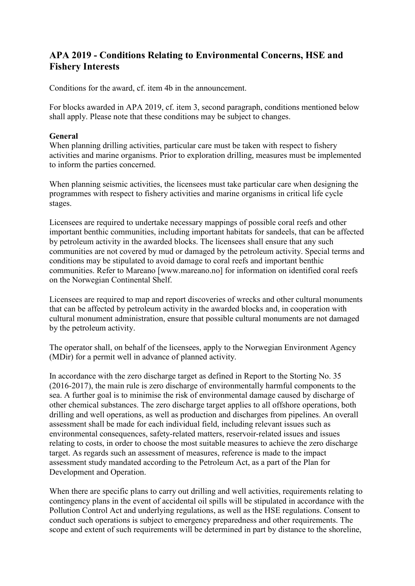# **APA 2019 - Conditions Relating to Environmental Concerns, HSE and Fishery Interests**

Conditions for the award, cf. item 4b in the announcement.

For blocks awarded in APA 2019, cf. item 3, second paragraph, conditions mentioned below shall apply. Please note that these conditions may be subject to changes.

#### **General**

When planning drilling activities, particular care must be taken with respect to fishery activities and marine organisms. Prior to exploration drilling, measures must be implemented to inform the parties concerned.

When planning seismic activities, the licensees must take particular care when designing the programmes with respect to fishery activities and marine organisms in critical life cycle stages.

Licensees are required to undertake necessary mappings of possible coral reefs and other important benthic communities, including important habitats for sandeels, that can be affected by petroleum activity in the awarded blocks. The licensees shall ensure that any such communities are not covered by mud or damaged by the petroleum activity. Special terms and conditions may be stipulated to avoid damage to coral reefs and important benthic communities. Refer to Mareano [www.mareano.no] for information on identified coral reefs on the Norwegian Continental Shelf.

Licensees are required to map and report discoveries of wrecks and other cultural monuments that can be affected by petroleum activity in the awarded blocks and, in cooperation with cultural monument administration, ensure that possible cultural monuments are not damaged by the petroleum activity.

The operator shall, on behalf of the licensees, apply to the Norwegian Environment Agency (MDir) for a permit well in advance of planned activity.

In accordance with the zero discharge target as defined in Report to the Storting No. 35 (2016-2017), the main rule is zero discharge of environmentally harmful components to the sea. A further goal is to minimise the risk of environmental damage caused by discharge of other chemical substances. The zero discharge target applies to all offshore operations, both drilling and well operations, as well as production and discharges from pipelines. An overall assessment shall be made for each individual field, including relevant issues such as environmental consequences, safety-related matters, reservoir-related issues and issues relating to costs, in order to choose the most suitable measures to achieve the zero discharge target. As regards such an assessment of measures, reference is made to the impact assessment study mandated according to the Petroleum Act, as a part of the Plan for Development and Operation.

When there are specific plans to carry out drilling and well activities, requirements relating to contingency plans in the event of accidental oil spills will be stipulated in accordance with the Pollution Control Act and underlying regulations, as well as the HSE regulations. Consent to conduct such operations is subject to emergency preparedness and other requirements. The scope and extent of such requirements will be determined in part by distance to the shoreline,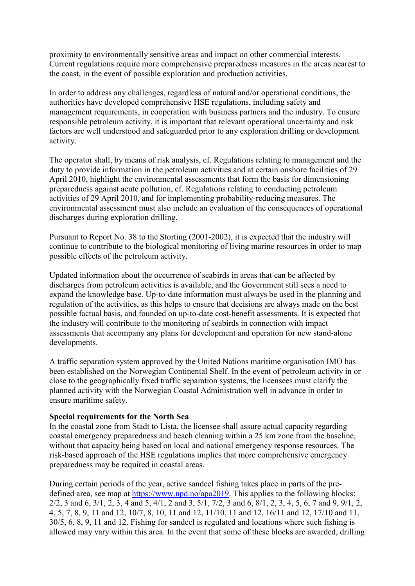proximity to environmentally sensitive areas and impact on other commercial interests. Current regulations require more comprehensive preparedness measures in the areas nearest to the coast, in the event of possible exploration and production activities.

In order to address any challenges, regardless of natural and/or operational conditions, the authorities have developed comprehensive HSE regulations, including safety and management requirements, in cooperation with business partners and the industry. To ensure responsible petroleum activity, it is important that relevant operational uncertainty and risk factors are well understood and safeguarded prior to any exploration drilling or development activity.

The operator shall, by means of risk analysis, cf. Regulations relating to management and the duty to provide information in the petroleum activities and at certain onshore facilities of 29 April 2010, highlight the environmental assessments that form the basis for dimensioning preparedness against acute pollution, cf. Regulations relating to conducting petroleum activities of 29 April 2010, and for implementing probability-reducing measures. The environmental assessment must also include an evaluation of the consequences of operational discharges during exploration drilling.

Pursuant to Report No. 38 to the Storting (2001-2002), it is expected that the industry will continue to contribute to the biological monitoring of living marine resources in order to map possible effects of the petroleum activity.

Updated information about the occurrence of seabirds in areas that can be affected by discharges from petroleum activities is available, and the Government still sees a need to expand the knowledge base. Up-to-date information must always be used in the planning and regulation of the activities, as this helps to ensure that decisions are always made on the best possible factual basis, and founded on up-to-date cost-benefit assessments. It is expected that the industry will contribute to the monitoring of seabirds in connection with impact assessments that accompany any plans for development and operation for new stand-alone developments.

A traffic separation system approved by the United Nations maritime organisation IMO has been established on the Norwegian Continental Shelf. In the event of petroleum activity in or close to the geographically fixed traffic separation systems, the licensees must clarify the planned activity with the Norwegian Coastal Administration well in advance in order to ensure maritime safety.

#### **Special requirements for the North Sea**

In the coastal zone from Stadt to Lista, the licensee shall assure actual capacity regarding coastal emergency preparedness and beach cleaning within a 25 km zone from the baseline, without that capacity being based on local and national emergency response resources. The risk-based approach of the HSE regulations implies that more comprehensive emergency preparedness may be required in coastal areas.

During certain periods of the year, active sandeel fishing takes place in parts of the predefined area, see map at [https://www.npd.no/apa2019.](https://www.npd.no/apa2019) This applies to the following blocks: 2/2, 3 and 6, 3/1, 2, 3, 4 and 5, 4/1, 2 and 3, 5/1, 7/2, 3 and 6, 8/1, 2, 3, 4, 5, 6, 7 and 9, 9/1, 2, 4, 5, 7, 8, 9, 11 and 12, 10/7, 8, 10, 11 and 12, 11/10, 11 and 12, 16/11 and 12, 17/10 and 11, 30/5, 6, 8, 9, 11 and 12. Fishing for sandeel is regulated and locations where such fishing is allowed may vary within this area. In the event that some of these blocks are awarded, drilling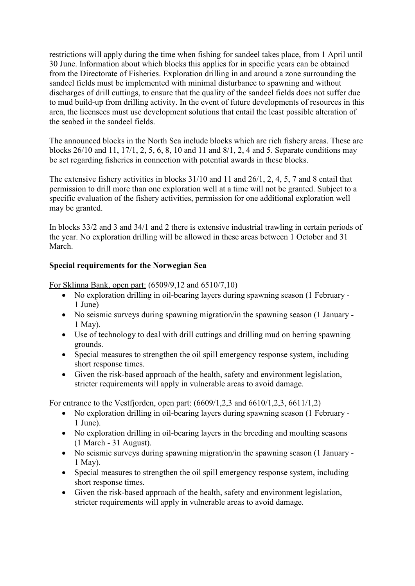restrictions will apply during the time when fishing for sandeel takes place, from 1 April until 30 June. Information about which blocks this applies for in specific years can be obtained from the Directorate of Fisheries. Exploration drilling in and around a zone surrounding the sandeel fields must be implemented with minimal disturbance to spawning and without discharges of drill cuttings, to ensure that the quality of the sandeel fields does not suffer due to mud build-up from drilling activity. In the event of future developments of resources in this area, the licensees must use development solutions that entail the least possible alteration of the seabed in the sandeel fields.

The announced blocks in the North Sea include blocks which are rich fishery areas. These are blocks 26/10 and 11, 17/1, 2, 5, 6, 8, 10 and 11 and 8/1, 2, 4 and 5. Separate conditions may be set regarding fisheries in connection with potential awards in these blocks.

The extensive fishery activities in blocks 31/10 and 11 and 26/1, 2, 4, 5, 7 and 8 entail that permission to drill more than one exploration well at a time will not be granted. Subject to a specific evaluation of the fishery activities, permission for one additional exploration well may be granted.

In blocks 33/2 and 3 and 34/1 and 2 there is extensive industrial trawling in certain periods of the year. No exploration drilling will be allowed in these areas between 1 October and 31 March.

## **Special requirements for the Norwegian Sea**

For Sklinna Bank, open part: (6509/9,12 and 6510/7,10)

- No exploration drilling in oil-bearing layers during spawning season (1 February -1 June)
- No seismic surveys during spawning migration/in the spawning season (1 January 1 May).
- Use of technology to deal with drill cuttings and drilling mud on herring spawning grounds.
- Special measures to strengthen the oil spill emergency response system, including short response times.
- Given the risk-based approach of the health, safety and environment legislation, stricter requirements will apply in vulnerable areas to avoid damage.

For entrance to the Vestfjorden, open part: (6609/1,2,3 and 6610/1,2,3, 6611/1,2)

- No exploration drilling in oil-bearing layers during spawning season (1 February -1 June).
- No exploration drilling in oil-bearing layers in the breeding and moulting seasons (1 March - 31 August).
- No seismic surveys during spawning migration/in the spawning season (1 January 1 May).
- Special measures to strengthen the oil spill emergency response system, including short response times.
- Given the risk-based approach of the health, safety and environment legislation, stricter requirements will apply in vulnerable areas to avoid damage.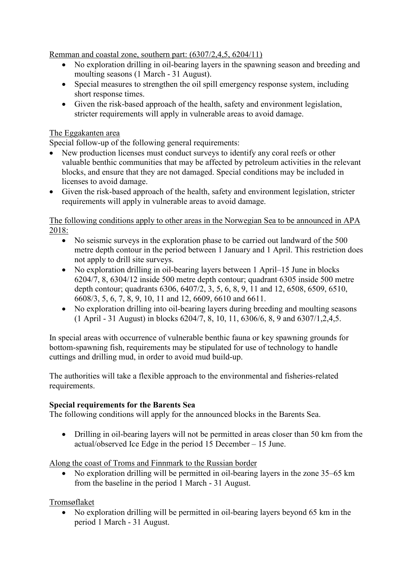Remman and coastal zone, southern part: (6307/2,4,5, 6204/11)

- No exploration drilling in oil-bearing layers in the spawning season and breeding and moulting seasons (1 March - 31 August).
- Special measures to strengthen the oil spill emergency response system, including short response times.
- Given the risk-based approach of the health, safety and environment legislation, stricter requirements will apply in vulnerable areas to avoid damage.

# The Eggakanten area

Special follow-up of the following general requirements:

- New production licenses must conduct surveys to identify any coral reefs or other valuable benthic communities that may be affected by petroleum activities in the relevant blocks, and ensure that they are not damaged. Special conditions may be included in licenses to avoid damage.
- Given the risk-based approach of the health, safety and environment legislation, stricter requirements will apply in vulnerable areas to avoid damage.

The following conditions apply to other areas in the Norwegian Sea to be announced in APA 2018:

- No seismic surveys in the exploration phase to be carried out landward of the 500 metre depth contour in the period between 1 January and 1 April. This restriction does not apply to drill site surveys.
- No exploration drilling in oil-bearing layers between 1 April–15 June in blocks 6204/7, 8, 6304/12 inside 500 metre depth contour; quadrant 6305 inside 500 metre depth contour; quadrants 6306, 6407/2, 3, 5, 6, 8, 9, 11 and 12, 6508, 6509, 6510, 6608/3, 5, 6, 7, 8, 9, 10, 11 and 12, 6609, 6610 and 6611.
- No exploration drilling into oil-bearing layers during breeding and moulting seasons (1 April - 31 August) in blocks 6204/7, 8, 10, 11, 6306/6, 8, 9 and 6307/1,2,4,5.

In special areas with occurrence of vulnerable benthic fauna or key spawning grounds for bottom-spawning fish, requirements may be stipulated for use of technology to handle cuttings and drilling mud, in order to avoid mud build-up.

The authorities will take a flexible approach to the environmental and fisheries-related requirements.

## **Special requirements for the Barents Sea**

The following conditions will apply for the announced blocks in the Barents Sea.

• Drilling in oil-bearing layers will not be permitted in areas closer than 50 km from the actual/observed Ice Edge in the period 15 December – 15 June.

Along the coast of Troms and Finnmark to the Russian border

• No exploration drilling will be permitted in oil-bearing layers in the zone 35–65 km from the baseline in the period 1 March - 31 August.

Tromsøflaket

• No exploration drilling will be permitted in oil-bearing layers beyond 65 km in the period 1 March - 31 August.